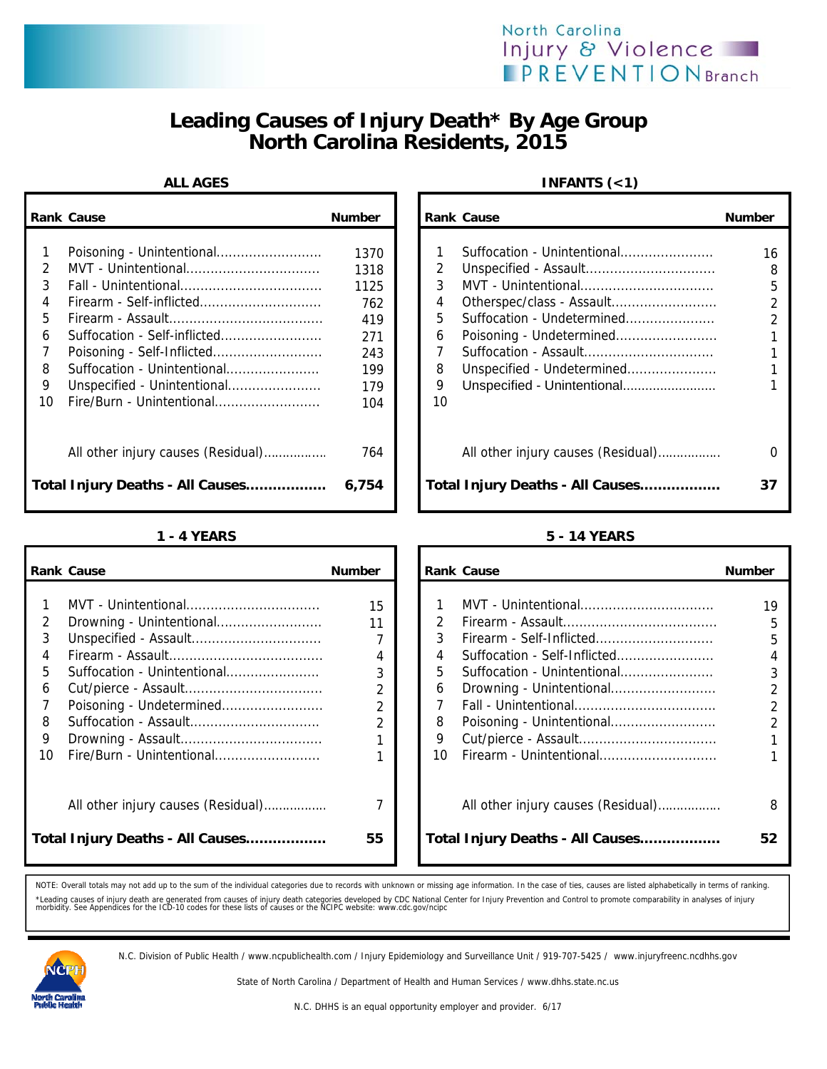# **Leading Causes of Injury Death\* By Age Group North Carolina Residents, 2015**

|               | <b>Rank Cause</b>                  | <b>Number</b> |    | <b>Rank Cause</b>                  | <b>Number</b>  |
|---------------|------------------------------------|---------------|----|------------------------------------|----------------|
|               |                                    | 1370          |    | Suffocation - Unintentional        | 16             |
| $\mathcal{P}$ |                                    | 1318          | 2  | Unspecified - Assault              | 8              |
| 3             |                                    | 1125          | 3  |                                    | 5              |
| 4             | Firearm - Self-inflicted           | 762           | 4  | Otherspec/class - Assault          | $\overline{2}$ |
| 5.            |                                    | 419           | 5. | Suffocation - Undetermined         |                |
| 6             | Suffocation - Self-inflicted       | 271           | 6  | Poisoning - Undetermined           |                |
|               |                                    | 243           |    |                                    |                |
| 8             | Suffocation - Unintentional        | 199           | 8  | Unspecified - Undetermined         |                |
| 9             | Unspecified - Unintentional        | 179           | 9  | Unspecified - Unintentional        |                |
| 10            | Fire/Burn - Unintentional          | 104           | 10 |                                    |                |
|               | All other injury causes (Residual) | 764           |    | All other injury causes (Residual) | 0              |
|               | Total Injury Deaths - All Causes   | 6,754         |    | Total Injury Deaths - All Causes   | 37             |

|    | <b>Rank Cause</b>                  | <b>Number</b>  |    | <b>Rank Cause</b>                  | Number         |
|----|------------------------------------|----------------|----|------------------------------------|----------------|
|    |                                    |                |    |                                    |                |
|    |                                    | 15             |    |                                    | 19             |
| 2  | Drowning - Unintentional           | 11             |    |                                    | 5              |
| 3  |                                    |                | 3  |                                    | 5              |
|    |                                    | 4              | 4  | Suffocation - Self-Inflicted       | 4              |
| 5  | Suffocation - Unintentional        | 3              | 5. | Suffocation - Unintentional        | 3              |
| 6  |                                    | 2              | 6  | Drowning - Unintentional           | $\overline{2}$ |
|    | Poisoning - Undetermined           | 2              |    |                                    | $\overline{2}$ |
| 8  |                                    | $\overline{2}$ | 8  |                                    | $\overline{2}$ |
| 9  |                                    |                | 9  |                                    |                |
| 10 | Fire/Burn - Unintentional          |                | 10 | Firearm - Unintentional            |                |
|    | All other injury causes (Residual) | 7              |    | All other injury causes (Residual) | 8              |
|    | Total Injury Deaths - All Causes   | 55             |    | Total Injury Deaths - All Causes   | 52             |

## ALL AGES **INFANTS** (<1)

| Cause                              | <b>Number</b> |    | <b>Rank Cause</b>                  | <b>Number</b> |
|------------------------------------|---------------|----|------------------------------------|---------------|
|                                    |               |    |                                    |               |
| Poisoning - Unintentional          | 1370          |    | Suffocation - Unintentional        | 16            |
| MVT - Unintentional                | 1318          | 2  |                                    | 8             |
| Fall - Unintentional               | 1125          | 3  |                                    | 5             |
| Firearm - Self-inflicted           | 762           | 4  |                                    |               |
|                                    | 419           | 5  | Suffocation - Undetermined         |               |
| Suffocation - Self-inflicted       | 271           | 6  |                                    |               |
| Poisoning - Self-Inflicted         | 243           |    |                                    |               |
| Suffocation - Unintentional        | 199           | 8  | Unspecified - Undetermined         |               |
| Unspecified - Unintentional        | 179           | 9  | Unspecified - Unintentional        |               |
| Fire/Burn - Unintentional          | 104           | 10 |                                    |               |
| All other injury causes (Residual) | 764           |    | All other injury causes (Residual) |               |
| Injury Deaths - All Causes         | 6,754         |    | Total Injury Deaths - All Causes   | 37            |

### **1 - 4 YEARS 5 - 14 YEARS**

|                                            | ank Cause                                                                            | <b>Number</b>           |                                                    | <b>Rank Cause</b>                                                                                                                                                      | <b>Number</b>                                              |
|--------------------------------------------|--------------------------------------------------------------------------------------|-------------------------|----------------------------------------------------|------------------------------------------------------------------------------------------------------------------------------------------------------------------------|------------------------------------------------------------|
| 2<br>3<br>4<br>5<br>6<br>7<br>8<br>9<br>10 | Suffocation - Unintentional<br>Poisoning - Undetermined<br>Fire/Burn - Unintentional | 15<br>11<br>4<br>3<br>2 | $\mathcal{P}$<br>3<br>4<br>5.<br>6<br>8<br>9<br>10 | MVT - Unintentional<br>Suffocation - Self-Inflicted<br>Suffocation - Unintentional<br>Drowning - Unintentional<br>Poisoning - Unintentional<br>Firearm - Unintentional | 19<br>5<br>5<br>4<br>3<br>$\mathfrak{p}$<br>$\mathfrak{D}$ |
|                                            | All other injury causes (Residual)<br>otal Injury Deaths - All Causes                | 7<br>55                 |                                                    | All other injury causes (Residual)<br>Total Injury Deaths - All Causes                                                                                                 | 8<br>52                                                    |

NOTE: Overall totals may not add up to the sum of the individual categories due to records with unknown or missing age information. In the case of ties, causes are listed alphabetically in terms of ranking. \*Leading causes of injury death are generated from causes of injury death categories developed by CDC National Center for Injury Prevention and Control to promote comparability in analyses of injury<br>morbidity. See Appendic



N.C. Division of Public Health / www.ncpublichealth.com / Injury Epidemiology and Surveillance Unit / 919-707-5425 / www.injuryfreenc.ncdhhs.gov

State of North Carolina / Department of Health and Human Services / www.dhhs.state.nc.us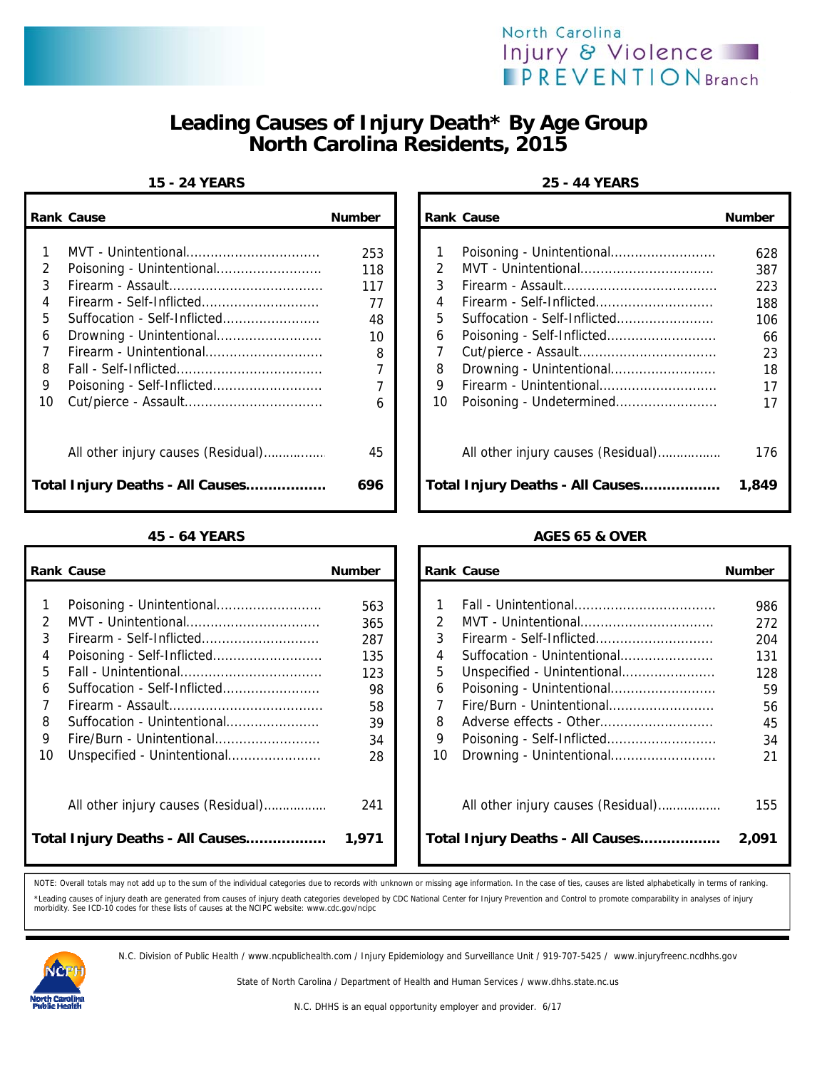

# **Leading Causes of Injury Death\* By Age Group North Carolina Residents, 2015**

### **15 - 24 YEARS 25 - 44 YEARS**

|    | <b>Rank Cause</b>                | <b>Number</b> |    | <b>Rank Cause</b>                  | <b>Number</b> |
|----|----------------------------------|---------------|----|------------------------------------|---------------|
|    |                                  |               |    |                                    |               |
|    |                                  | 253           |    | Poisoning - Unintentional          | 628           |
| 2  | Poisoning - Unintentional        | 118           | 2. | MVT - Unintentional                | 387           |
| 3  |                                  | 117           | 3  |                                    | 223           |
| 4  |                                  | 77            | 4  |                                    | 188           |
| 5  | Suffocation - Self-Inflicted     | 48            | 5  | Suffocation - Self-Inflicted       | 106           |
| 6  | Drowning - Unintentional         | 10            | 6  | Poisoning - Self-Inflicted         | 66            |
|    | Firearm - Unintentional          | 8             |    |                                    | 23            |
| 8  |                                  |               | 8  | Drowning - Unintentional           | 18            |
| 9  | Poisoning - Self-Inflicted       |               | 9  | Firearm - Unintentional            | 17            |
| 10 |                                  | 6             | 10 | Poisoning - Undetermined           | 17            |
|    |                                  | 45            |    | All other injury causes (Residual) | 176           |
|    | Total Injury Deaths - All Causes | 696           |    | Total Injury Deaths - All Causes   | 1,849         |

|    | <b>Rank Cause</b>                  | <b>Number</b> |    | <b>Rank Cause</b>                  | <b>Number</b> |
|----|------------------------------------|---------------|----|------------------------------------|---------------|
|    |                                    |               |    |                                    |               |
|    |                                    | 563           |    |                                    | 986           |
| 2  |                                    | 365           |    | MVT - Unintentional                | 272           |
| 3  |                                    | 287           | 3  | Firearm - Self-Inflicted           | 204           |
| 4  | Poisoning - Self-Inflicted         | 135           | 4  | Suffocation - Unintentional        | 131           |
| 5  |                                    | 123           | 5  | Unspecified - Unintentional        | 128           |
| 6  | Suffocation - Self-Inflicted       | 98            | 6  |                                    | 59            |
|    |                                    | 58            |    | Fire/Burn - Unintentional          | 56            |
| 8  | Suffocation - Unintentional        | 39            | 8  |                                    | 45            |
| 9  | Fire/Burn - Unintentional          | 34            | 9  |                                    | 34            |
| 10 | Unspecified - Unintentional        | 28            | 10 | Drowning - Unintentional           | 21            |
|    | All other injury causes (Residual) | 241           |    | All other injury causes (Residual) | 155           |
|    | Total Injury Deaths - All Causes   | 1,971         |    | Total Injury Deaths - All Causes   | 2,091         |

| <b>Number</b>                                                                                                                                              |                                             | <b>Number</b>                                                                                                                         |
|------------------------------------------------------------------------------------------------------------------------------------------------------------|---------------------------------------------|---------------------------------------------------------------------------------------------------------------------------------------|
| 253<br>Poisoning - Unintentional<br>118<br>117<br>77<br>48<br>Drowning - Unintentional<br>10<br>Firearm - Unintentional<br>8<br>Poisoning - Self-Inflicted | $\mathcal{P}$<br>3<br>4<br>5<br>6<br>8<br>9 | 628<br>387<br>223<br>188<br>106<br>66<br>23<br>18<br>17                                                                               |
| Cut/pierce - Assault<br>6                                                                                                                                  | 10                                          | 17                                                                                                                                    |
| All other injury causes (Residual)<br>45<br>Injury Deaths - All Causes<br>696                                                                              |                                             | 176<br>1,849                                                                                                                          |
|                                                                                                                                                            |                                             | Rank Cause<br>Suffocation - Self-Inflicted<br>Drowning - Unintentional<br>Firearm - Unintentional<br>Total Injury Deaths - All Causes |

## **45 - 64 YEARS AGES 65 & OVER**

|    | ank Cause                          | <b>Number</b> |               | <b>Rank Cause</b>                  | <b>Number</b> |
|----|------------------------------------|---------------|---------------|------------------------------------|---------------|
|    |                                    |               |               |                                    |               |
| 1  |                                    | 563           |               |                                    | 986           |
| 2  |                                    | 365           | $\mathcal{P}$ |                                    | 272           |
| 3  | Firearm - Self-Inflicted           | 287           |               |                                    | 204           |
| 4  |                                    | 135           | 4             | Suffocation - Unintentional        | 131           |
| 5  |                                    | 123           | 5.            | Unspecified - Unintentional        | 128           |
| 6. | Suffocation - Self-Inflicted       | 98            | 6             |                                    | 59            |
| 7  |                                    | 58            |               | Fire/Burn - Unintentional          | 56            |
| 8  | Suffocation - Unintentional        | 39            | 8             |                                    | 45            |
| 9  | Fire/Burn - Unintentional          | 34            | 9             |                                    | 34            |
| 10 | Unspecified - Unintentional        | 28            | 10            | Drowning - Unintentional           | 21            |
|    |                                    |               |               |                                    |               |
|    |                                    |               |               |                                    |               |
|    | All other injury causes (Residual) | 241           |               | All other injury causes (Residual) | 155           |
|    |                                    |               |               |                                    |               |
|    | otal Injury Deaths - All Causes    | 1,971         |               | Total Injury Deaths - All Causes   | 2,091         |
|    |                                    |               |               |                                    |               |

NOTE: Overall totals may not add up to the sum of the individual categories due to records with unknown or missing age information. In the case of ties, causes are listed alphabetically in terms of ranking. \*Leading causes of injury death are generated from causes of injury death categories developed by CDC National Center for Injury Prevention and Control to promote comparability in analyses of injury<br>morbidity. See ICD-10 c



N.C. Division of Public Health / www.ncpublichealth.com / Injury Epidemiology and Surveillance Unit / 919-707-5425 / www.injuryfreenc.ncdhhs.gov

State of North Carolina / Department of Health and Human Services / www.dhhs.state.nc.us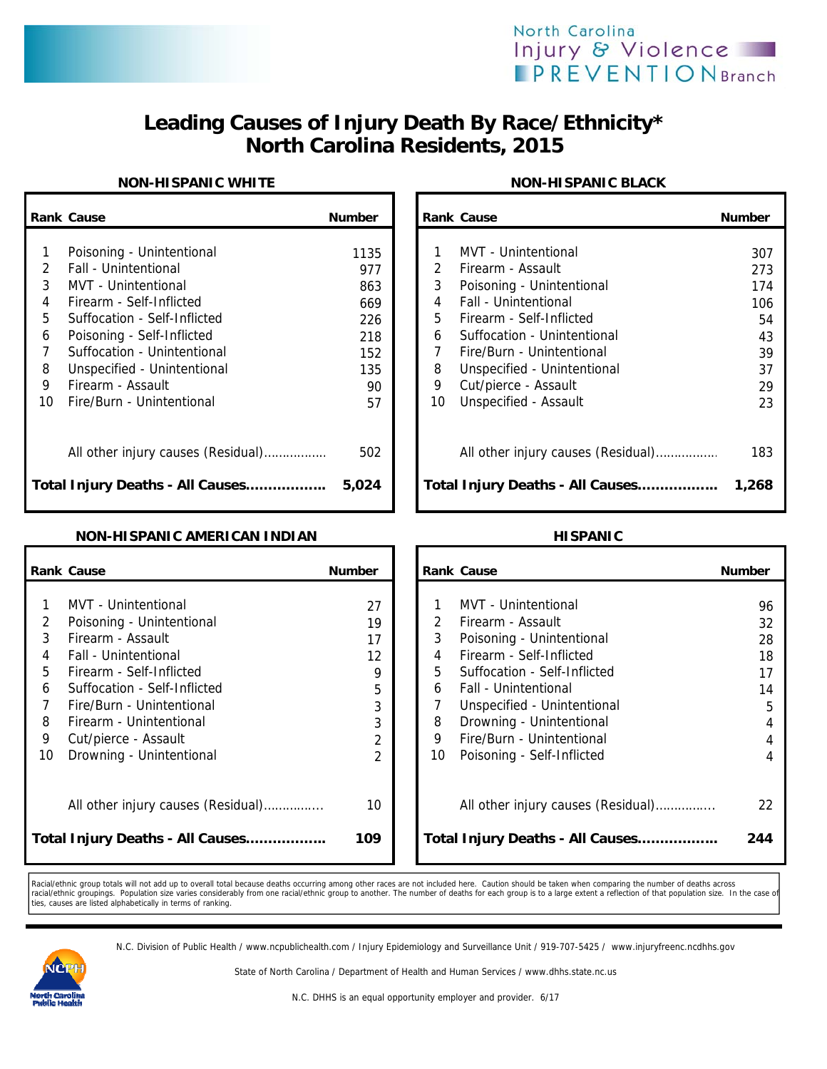

# **Leading Causes of Injury Death By Race/Ethnicity\* North Carolina Residents, 2015**

### **NON-HISPANIC WHITE NON-HISPANIC BLACK**

|               | <b>Rank Cause</b>                                          | <b>Number</b> |         | <b>Rank Cause</b>                                        | <b>Number</b> |
|---------------|------------------------------------------------------------|---------------|---------|----------------------------------------------------------|---------------|
| $\mathcal{P}$ | Poisoning - Unintentional<br>Fall - Unintentional          | 1135<br>977   |         | MVT - Unintentional<br>Firearm - Assault                 | 307<br>273    |
| 3<br>4        | MVT - Unintentional<br>Firearm - Self-Inflicted            | 863<br>669    | 3<br>4  | Poisoning - Unintentional<br>Fall - Unintentional        | 174<br>106    |
| 5<br>6        | Suffocation - Self-Inflicted<br>Poisoning - Self-Inflicted | 226<br>218    | 5.<br>6 | Firearm - Self-Inflicted<br>Suffocation - Unintentional  | 54<br>43      |
| 8<br>9        | Suffocation - Unintentional<br>Unspecified - Unintentional | 152<br>135    | 8       | Fire/Burn - Unintentional<br>Unspecified - Unintentional | 39<br>37      |
| 10            | Firearm - Assault<br>Fire/Burn - Unintentional             | 90<br>57      | 9<br>10 | Cut/pierce - Assault<br>Unspecified - Assault            | 29<br>23      |
|               | All other injury causes (Residual)                         | 502           |         | All other injury causes (Residual)                       | 183           |
|               | Total Injury Deaths - All Causes                           | 5,024         |         | Total Injury Deaths - All Causes                         | 1,268         |

| Cause                                                     | <b>Number</b> |                | <b>Rank Cause</b>                                        | <b>Number</b> |
|-----------------------------------------------------------|---------------|----------------|----------------------------------------------------------|---------------|
| Poisoning - Unintentional<br>Fall - Unintentional         | 1135<br>977   | $\overline{2}$ | MVT - Unintentional<br>Firearm - Assault                 | 307<br>273    |
| MVT - Unintentional<br>Firearm - Self-Inflicted           | 863<br>669    | 3<br>4         | Poisoning - Unintentional<br>Fall - Unintentional        | 174<br>106    |
| Suffocation - Self-Inflicted                              | 226           | 5              | Firearm - Self-Inflicted                                 | 54            |
| Poisoning - Self-Inflicted<br>Suffocation - Unintentional | 218<br>152    | 6<br>7         | Suffocation - Unintentional<br>Fire/Burn - Unintentional | 43<br>39      |
| Unspecified - Unintentional<br>Firearm - Assault          | 135<br>90     | 8<br>9         | Unspecified - Unintentional<br>Cut/pierce - Assault      | 37<br>29      |
| Fire/Burn - Unintentional                                 | 57            | 10             | Unspecified - Assault                                    | 23            |
| All other injury causes (Residual)                        | 502           |                | All other injury causes (Residual)                       | 183           |
| Injury Deaths - All Causes                                | 5,024         |                | Total Injury Deaths - All Causes                         | 1,268         |

### **NON-HISPANIC AMERICAN INDIAN HISPANIC**

|                                 | <b>Rank Cause</b>                                                                                                                                                                                                                                | <b>Number</b>                                 |                       | <b>Rank Cause</b>                                                                                                                                                                                                                                 | <b>Number</b>                                   |
|---------------------------------|--------------------------------------------------------------------------------------------------------------------------------------------------------------------------------------------------------------------------------------------------|-----------------------------------------------|-----------------------|---------------------------------------------------------------------------------------------------------------------------------------------------------------------------------------------------------------------------------------------------|-------------------------------------------------|
| 2<br>3<br>4<br>5<br>6<br>8<br>9 | <b>MVT</b> - Unintentional<br>Poisoning - Unintentional<br>Firearm - Assault<br>Fall - Unintentional<br>Firearm - Self-Inflicted<br>Suffocation - Self-Inflicted<br>Fire/Burn - Unintentional<br>Firearm - Unintentional<br>Cut/pierce - Assault | 27<br>19<br>17<br>12<br>9<br>5<br>3<br>3<br>2 | 3<br>5<br>6<br>8<br>9 | MVT - Unintentional<br>Firearm - Assault<br>Poisoning - Unintentional<br>Firearm - Self-Inflicted<br>Suffocation - Self-Inflicted<br>Fall - Unintentional<br>Unspecified - Unintentional<br>Drowning - Unintentional<br>Fire/Burn - Unintentional | 96<br>32<br>28<br>18<br>17<br>14<br>5<br>4<br>4 |
| 10                              | Drowning - Unintentional<br>All other injury causes (Residual)<br>Total Injury Deaths - All Causes                                                                                                                                               | $\overline{2}$<br>10<br>109                   | 10                    | Poisoning - Self-Inflicted<br>All other injury causes (Residual)<br>Total Injury Deaths - All Causes                                                                                                                                              | 4<br>22<br>244                                  |

Racial/ethnic group totals will not add up to overall total because deaths occurring among other races are not included here. Caution should be taken when comparing the number of deaths across racial/ethnic groupings. Population size varies considerably from one racial/ethnic group to another. The number of deaths for each group is to a large extent a reflection of that population size. In the case of<br>ties, caus

N.C. Division of Public Health / www.ncpublichealth.com / Injury Epidemiology and Surveillance Unit / 919-707-5425 / www.injuryfreenc.ncdhhs.gov

State of North Carolina / Department of Health and Human Services / www.dhhs.state.nc.us